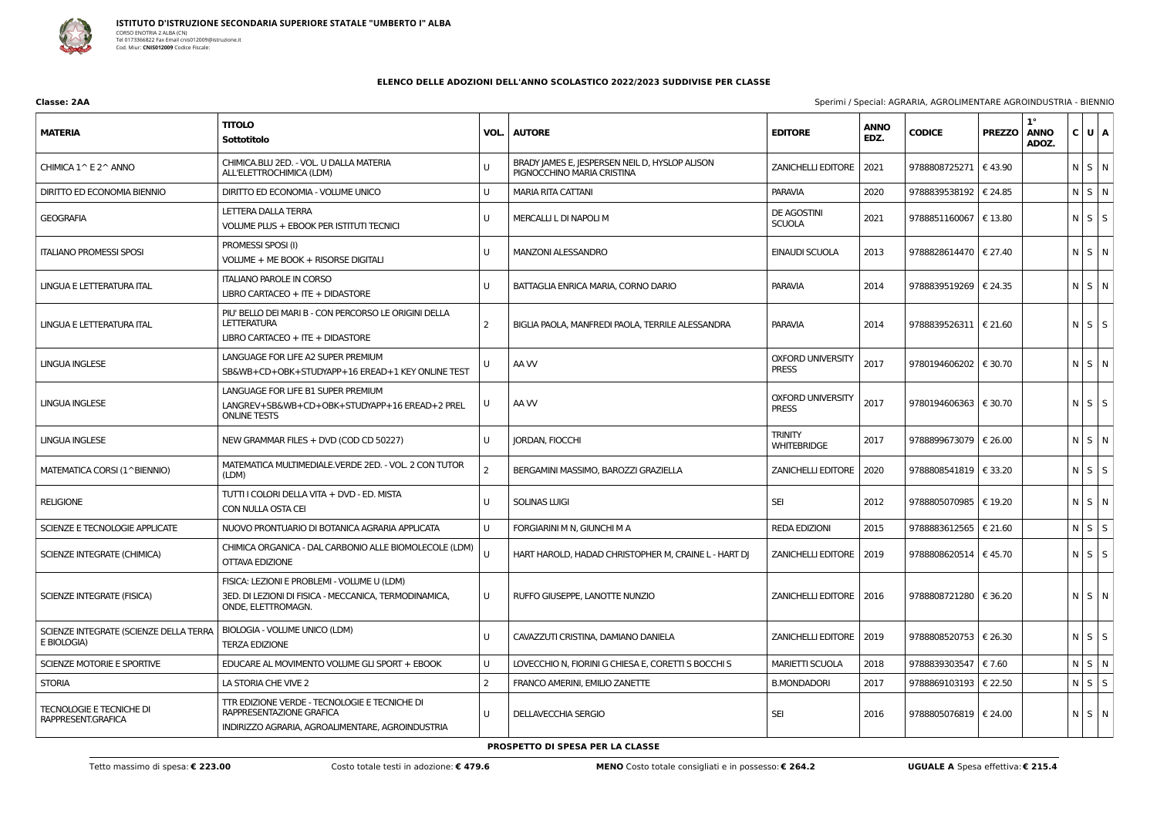

| Classe: 2AA | Sperimi / Special: AGRARIA, AGROLIMENTARE AGROINDUSTRIA - BIENNIC |
|-------------|-------------------------------------------------------------------|
|             |                                                                   |

## **ELENCO DELLE ADOZIONI DELL'ANNO SCOLASTICO 2022/2023 SUDDIVISE PER CLASSE**

| <b>MATERIA</b>                                        | <b>TITOLO</b><br>Sottotitolo                                                                                                  |               | <b>VOL.   AUTORE</b>                                                         | <b>EDITORE</b>                           | <b>ANNO</b><br>EDZ. | <b>CODICE</b>           | <b>PREZZO</b> | $1^{\circ}$<br><b>ANNO</b><br>ADOZ. | C U A       |  |
|-------------------------------------------------------|-------------------------------------------------------------------------------------------------------------------------------|---------------|------------------------------------------------------------------------------|------------------------------------------|---------------------|-------------------------|---------------|-------------------------------------|-------------|--|
| CHIMICA 1^ E 2^ ANNO                                  | CHIMICA.BLU 2ED. - VOL. U DALLA MATERIA<br>ALL'ELETTROCHIMICA (LDM)                                                           |               | BRADY JAMES E, JESPERSEN NEIL D, HYSLOP ALISON<br>PIGNOCCHINO MARIA CRISTINA | <b>ZANICHELLI EDITORE</b>                | 2021                | 9788808725271   € 43.90 |               |                                     | $N$ S $N$   |  |
| DIRITTO ED ECONOMIA BIENNIO                           | DIRITTO ED ECONOMIA - VOLUME UNICO                                                                                            | U             | <b>MARIA RITA CATTANI</b>                                                    | <b>PARAVIA</b>                           | 2020                | 9788839538192           | € 24.85       |                                     | $N$ $S$ $N$ |  |
| <b>GEOGRAFIA</b>                                      | LETTERA DALLA TERRA<br><b>VOLUME PLUS + EBOOK PER ISTITUTI TECNICI</b>                                                        | U             | MERCALLI L DI NAPOLI M                                                       | <b>DE AGOSTINI</b><br><b>SCUOLA</b>      | 2021                | 9788851160067   € 13.80 |               |                                     | $N$ $S$ $S$ |  |
| <b>ITALIANO PROMESSI SPOSI</b>                        | PROMESSI SPOSI (I)<br>VOLUME + ME BOOK + RISORSE DIGITALI                                                                     | U             | <b>MANZONI ALESSANDRO</b>                                                    | EINAUDI SCUOLA                           | 2013                | 9788828614470   € 27.40 |               |                                     | $N$ S $N$   |  |
| LINGUA E LETTERATURA ITAL                             | <b>ITALIANO PAROLE IN CORSO</b><br>LIBRO CARTACEO + ITE + DIDASTORE                                                           | U             | BATTAGLIA ENRICA MARIA, CORNO DARIO                                          | <b>PARAVIA</b>                           | 2014                | 9788839519269   € 24.35 |               |                                     | NSN         |  |
| LINGUA E LETTERATURA ITAL                             | PIU' BELLO DEI MARI B - CON PERCORSO LE ORIGINI DELLA<br><b>LETTERATURA</b><br>LIBRO CARTACEO + ITE + DIDASTORE               | 2             | BIGLIA PAOLA, MANFREDI PAOLA, TERRILE ALESSANDRA                             | <b>PARAVIA</b>                           | 2014                | 9788839526311   € 21.60 |               |                                     | $N$ $S$ $S$ |  |
| <b>LINGUA INGLESE</b>                                 | LANGUAGE FOR LIFE A2 SUPER PREMIUM<br>SB&WB+CD+OBK+STUDYAPP+16 EREAD+1 KEY ONLINE TEST                                        |               | AA W                                                                         | <b>OXFORD UNIVERSITY</b><br><b>PRESS</b> | 2017                | 9780194606202   € 30.70 |               |                                     | $N$ S $N$   |  |
| LINGUA INGLESE                                        | LANGUAGE FOR LIFE B1 SUPER PREMIUM<br>LANGREV+SB&WB+CD+OBK+STUDYAPP+16 EREAD+2 PREL<br><b>ONLINE TESTS</b>                    | U             | AA W                                                                         | <b>OXFORD UNIVERSITY</b><br><b>PRESS</b> | 2017                | 9780194606363   € 30.70 |               |                                     | $N$ $S$ $S$ |  |
| <b>LINGUA INGLESE</b>                                 | NEW GRAMMAR FILES + DVD (COD CD 50227)                                                                                        | U             | JORDAN, FIOCCHI                                                              | <b>TRINITY</b><br><b>WHITEBRIDGE</b>     | 2017                | 9788899673079   € 26.00 |               |                                     | $N$ $S$ $N$ |  |
| MATEMATICA CORSI (1^BIENNIO)                          | MATEMATICA MULTIMEDIALE.VERDE 2ED. - VOL. 2 CON TUTOR<br>(LDM)                                                                | $\mathcal{P}$ | BERGAMINI MASSIMO, BAROZZI GRAZIELLA                                         | <b>ZANICHELLI EDITORE</b>                | 2020                | 9788808541819   € 33.20 |               |                                     | $N$ $S$ $S$ |  |
| <b>RELIGIONE</b>                                      | TUTTI I COLORI DELLA VITA + DVD - ED. MISTA<br>CON NULLA OSTA CEI                                                             | U             | <b>SOLINAS LUIGI</b>                                                         | <b>SEI</b>                               | 2012                | 9788805070985   € 19.20 |               |                                     | $N$ S $N$   |  |
| SCIENZE E TECNOLOGIE APPLICATE                        | NUOVO PRONTUARIO DI BOTANICA AGRARIA APPLICATA                                                                                | U             | FORGIARINI M N, GIUNCHI M A                                                  | <b>REDA EDIZIONI</b>                     | 2015                | 9788883612565           | € 21.60       |                                     | $N$ $S$ $S$ |  |
| SCIENZE INTEGRATE (CHIMICA)                           | CHIMICA ORGANICA - DAL CARBONIO ALLE BIOMOLECOLE (LDM)<br>OTTAVA EDIZIONE                                                     |               | HART HAROLD, HADAD CHRISTOPHER M, CRAINE L - HART DJ                         | ZANICHELLI EDITORE   2019                |                     | 9788808620514   € 45.70 |               |                                     | $N$ $S$ $S$ |  |
| SCIENZE INTEGRATE (FISICA)                            | FISICA: LEZIONI E PROBLEMI - VOLUME U (LDM)<br>3ED. DI LEZIONI DI FISICA - MECCANICA, TERMODINAMICA,<br>ONDE, ELETTROMAGN.    | U             | RUFFO GIUSEPPE, LANOTTE NUNZIO                                               | ZANICHELLI EDITORE   2016                |                     | 9788808721280   € 36.20 |               |                                     | $N$ $S$ $N$ |  |
| SCIENZE INTEGRATE (SCIENZE DELLA TERRA<br>E BIOLOGIA) | BIOLOGIA - VOLUME UNICO (LDM)<br><b>TERZA EDIZIONE</b>                                                                        | U             | CAVAZZUTI CRISTINA, DAMIANO DANIELA                                          | ZANICHELLI EDITORE   2019                |                     | 9788808520753   € 26.30 |               |                                     | $N$ $S$ $S$ |  |
| SCIENZE MOTORIE E SPORTIVE                            | EDUCARE AL MOVIMENTO VOLUME GLI SPORT + EBOOK                                                                                 | U             | LOVECCHIO N, FIORINI G CHIESA E, CORETTI S BOCCHI S                          | <b>MARIETTI SCUOLA</b>                   | 2018                | 9788839303547           | € 7.60        |                                     | N S N       |  |
| <b>STORIA</b>                                         | LA STORIA CHE VIVE 2                                                                                                          | 2             | FRANCO AMERINI, EMILIO ZANETTE                                               | <b>B.MONDADORI</b>                       | 2017                | 9788869103193           | € 22.50       |                                     | N S S       |  |
| <b>TECNOLOGIE E TECNICHE DI</b><br>RAPPRESENT.GRAFICA | TTR EDIZIONE VERDE - TECNOLOGIE E TECNICHE DI<br>RAPPRESENTAZIONE GRAFICA<br>INDIRIZZO AGRARIA, AGROALIMENTARE, AGROINDUSTRIA | U             | <b>DELLAVECCHIA SERGIO</b>                                                   | <b>SEI</b>                               | 2016                | 9788805076819   € 24.00 |               |                                     | $N$ $S$ $N$ |  |

**PROSPETTO DI SPESA PER LA CLASSE**